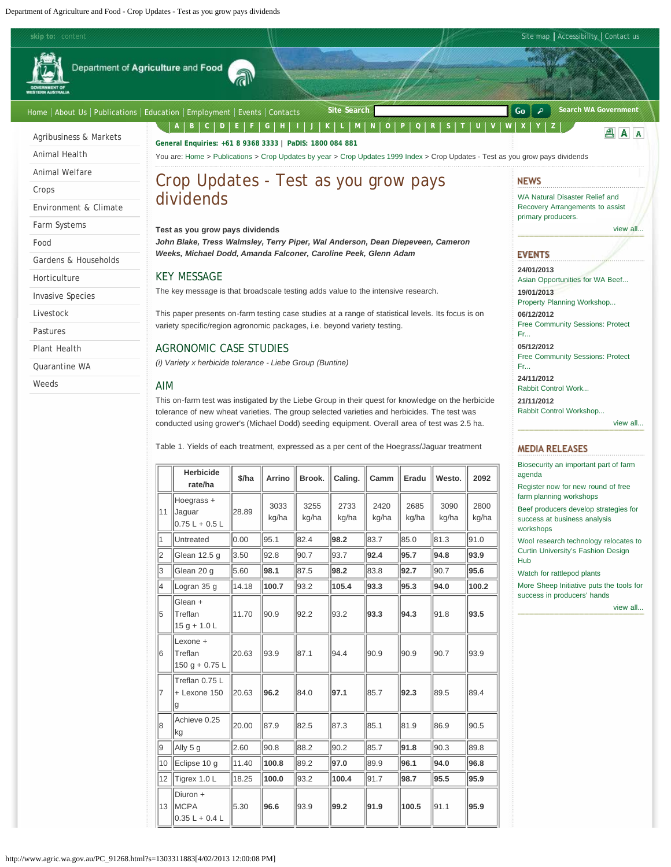<span id="page-0-0"></span>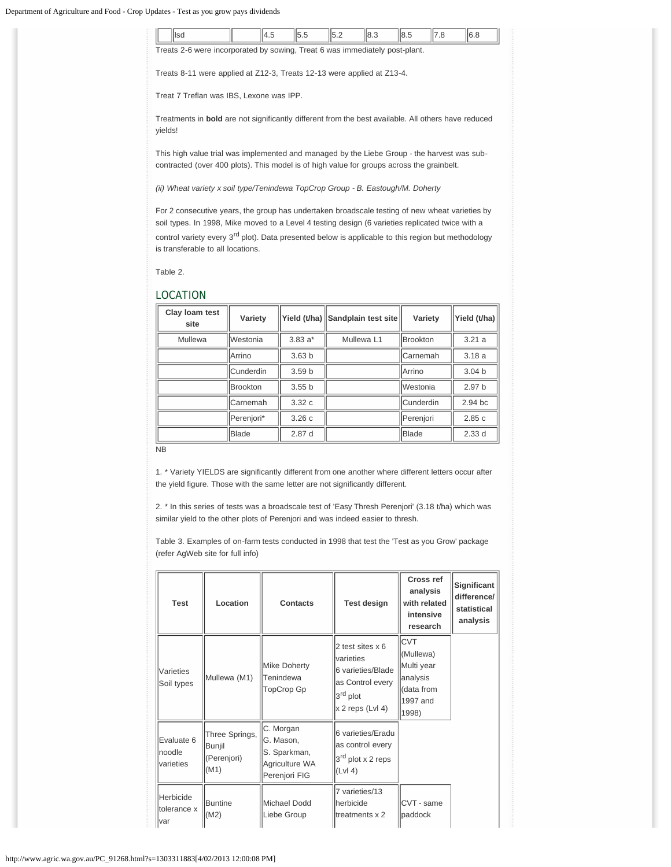|         | llsd                                                                                                       | <sup>4.5</sup> | 5.5 | 5.2 | 8.3 | 8.5 | $\overline{7.8}$ | 6.8 |
|---------|------------------------------------------------------------------------------------------------------------|----------------|-----|-----|-----|-----|------------------|-----|
|         | Treats 2-6 were incorporated by sowing, Treat 6 was immediately post-plant.                                |                |     |     |     |     |                  |     |
|         | Treats 8-11 were applied at Z12-3, Treats 12-13 were applied at Z13-4.                                     |                |     |     |     |     |                  |     |
|         | Treat 7 Treflan was IBS, Lexone was IPP.                                                                   |                |     |     |     |     |                  |     |
| yields! | Treatments in <b>bold</b> are not significantly different from the best available. All others have reduced |                |     |     |     |     |                  |     |
|         | This high value trial was implemented and managed by the Liebe Group - the harvest was sub-                |                |     |     |     |     |                  |     |

This high value trial was implemented and managed by the Liebe Group - the harvest was subcontracted (over 400 plots). This model is of high value for groups across the grainbelt.

*(ii) Wheat variety x soil type/Tenindewa TopCrop Group - B. Eastough/M. Doherty*

For 2 consecutive years, the group has undertaken broadscale testing of new wheat varieties by soil types. In 1998, Mike moved to a Level 4 testing design (6 varieties replicated twice with a control variety every 3<sup>rd</sup> plot). Data presented below is applicable to this region but methodology is transferable to all locations.

Table 2.

## LOCATION

| Clay loam test<br>site | Variety          | Yield (t/ha)      | Sandplain test site | Variety                | Yield (t/ha)      |
|------------------------|------------------|-------------------|---------------------|------------------------|-------------------|
| Mullewa                | <b>Westonia</b>  | $3.83a*$          | Mullewa L1          | <b>Brookton</b>        | 3.21a             |
|                        | Arrino           | 3.63 <sub>b</sub> |                     | Carnemah               | 3.18a             |
|                        | <b>Cunderdin</b> | 3.59 <sub>b</sub> |                     | lArrino                | 3.04 <sub>b</sub> |
|                        | <b>Brookton</b>  | 3.55 <sub>b</sub> |                     | <i><b>Westonia</b></i> | 2.97 <sub>b</sub> |
|                        | Carnemah         | 3.32c             |                     | <b>Cunderdin</b>       | 2.94 bc           |
|                        | Perenjori*       | 3.26c             |                     | Perenjori              | 2.85c             |
|                        | <b>Blade</b>     | 2.87d             |                     | Blade                  | 2.33d             |

NB

1. \* Variety YIELDS are significantly different from one another where different letters occur after the yield figure. Those with the same letter are not significantly different.

2. \* In this series of tests was a broadscale test of 'Easy Thresh Perenjori' (3.18 t/ha) which was similar yield to the other plots of Perenjori and was indeed easier to thresh.

Table 3. Examples of on-farm tests conducted in 1998 that test the 'Test as you Grow' package (refer AgWeb site for full info)

| <b>Test</b>                         | Location                                        | <b>Contacts</b>                                                           | <b>Test design</b>                                                                                                          | Cross ref<br>analysis<br>with related<br>intensive<br>research                        | Significant<br>difference/<br>statistical<br>analysis |
|-------------------------------------|-------------------------------------------------|---------------------------------------------------------------------------|-----------------------------------------------------------------------------------------------------------------------------|---------------------------------------------------------------------------------------|-------------------------------------------------------|
| Varieties<br>Soil types             | Mullewa (M1)                                    | Mike Doherty<br>Tenindewa<br>TopCrop Gp                                   | 2 test sites x 6<br><b>varieties</b><br>6 varieties/Blade<br>as Control every<br>3 <sup>rd</sup> plot<br>$x 2$ reps (Lvl 4) | <b>ICVT</b><br>(Mullewa)<br>Multi year<br>analysis<br>Idata from<br>1997 and<br>1998) |                                                       |
| Evaluate 6<br>Inoodle<br>lvarieties | Three Springs,<br>Bunjil<br>(Perenjori)<br>(M1) | C. Morgan<br>G. Mason,<br>S. Sparkman,<br>Agriculture WA<br>Perenjori FIG | 6 varieties/Eradu<br>as control every<br>3 <sup>rd</sup> plot x 2 reps<br>$ Lvl4\rangle$                                    |                                                                                       |                                                       |
| Herbicide<br>tolerance x<br>Ivar    | <b>Buntine</b><br>(M2)                          | Michael Dodd<br>Liebe Group                                               | 7 varieties/13<br>herbicide<br>treatments x 2                                                                               | ICVT - same<br>paddock                                                                |                                                       |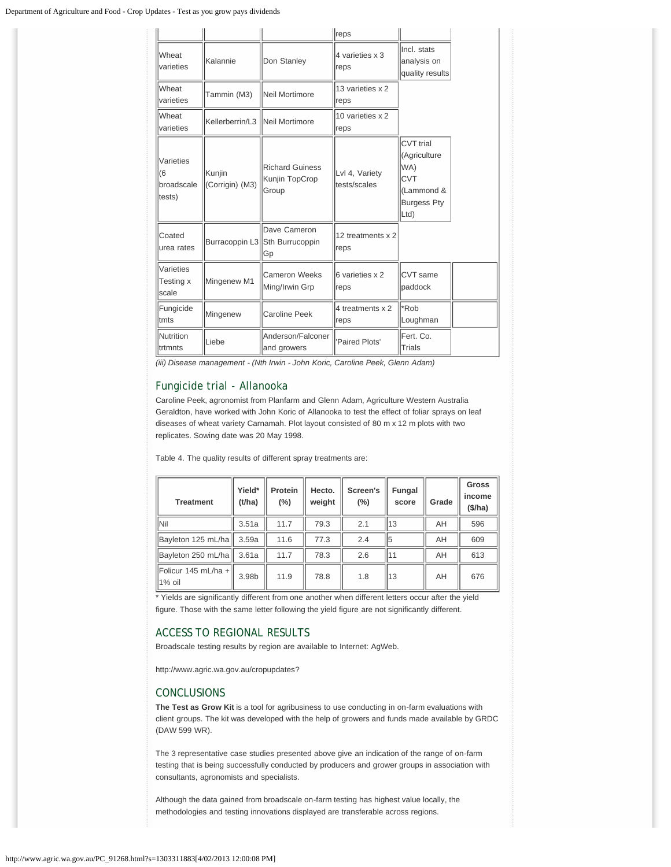|                                         |                                           |                                                       | reps                           |                                                                                                  |  |
|-----------------------------------------|-------------------------------------------|-------------------------------------------------------|--------------------------------|--------------------------------------------------------------------------------------------------|--|
| Wheat<br><b>Kalannie</b><br>varieties   |                                           | Don Stanley                                           | 4 varieties x 3<br>reps        | linci, stats<br>analysis on<br>quality results                                                   |  |
| Wheat<br>varieties                      | Tammin (M3)                               | Neil Mortimore                                        | 13 varieties x 2<br>reps       |                                                                                                  |  |
| Wheat<br>varieties                      | Kellerberrin/L3  Neil Mortimore           |                                                       | 10 varieties x 2<br>reps       |                                                                                                  |  |
| Varieties<br>61<br>broadscale<br>tests) | Kunjin<br>(Corrigin) (M3)                 | <b>Richard Guiness</b><br>Kunjin TopCrop<br>Group     | Lvl 4, Variety<br>tests/scales | <b>CVT</b> trial<br>(Agriculture<br>WA)<br><b>CVT</b><br>(Lammond &<br><b>Burgess Pty</b><br>Ltd |  |
| Coated<br>urea rates                    |                                           | Dave Cameron<br>Burracoppin L3 Sth Burrucoppin<br> Gp | 12 treatments x 2<br>reps      |                                                                                                  |  |
| Varieties<br>Testing x<br>scale         | Mingenew M1                               | <b>Cameron Weeks</b><br>Ming/Irwin Grp                | 6 varieties x 2<br>reps        | <b>CVT</b> same<br>lpaddock                                                                      |  |
| Fungicide<br>ltmts                      | Mingenew                                  | Caroline Peek                                         | 4 treatments x 2<br>reps       | <sup>*</sup> Rob<br>Loughman                                                                     |  |
| Nutrition<br>ltrtmnts                   | Anderson/Falconer<br>Liebe<br>and growers |                                                       | Paired Plots'                  | Fert. Co.<br><b>Trials</b>                                                                       |  |

*(iii) Disease management - (Nth Irwin - John Koric, Caroline Peek, Glenn Adam)*

## Fungicide trial - Allanooka

Caroline Peek, agronomist from Planfarm and Glenn Adam, Agriculture Western Australia Geraldton, have worked with John Koric of Allanooka to test the effect of foliar sprays on leaf diseases of wheat variety Carnamah. Plot layout consisted of 80 m x 12 m plots with two replicates. Sowing date was 20 May 1998.

Table 4. The quality results of different spray treatments are:

| <b>Treatment</b>                | Yield*<br>(t/ha) | Protein<br>$(\%)$ | Hecto.<br>weight | Screen's<br>$(\%)$ | <b>Fungal</b><br>score | Grade | Gross<br>income<br>(\$/ha) |
|---------------------------------|------------------|-------------------|------------------|--------------------|------------------------|-------|----------------------------|
| <b>Nil</b>                      | 3.51a            | 11.7              | 79.3             | 2.1                | 113                    | AH    | 596                        |
| Bayleton 125 mL/ha              | 3.59a            | 11.6              | 77.3             | 2.4                | 15                     | AH    | 609                        |
| Bayleton 250 mL/ha              | 3.61a            | 11.7              | 78.3             | 2.6                | l11                    | AH    | 613                        |
| Folicur 145 mL/ha +<br>$1%$ oil | 3.98b            | 11.9              | 78.8             | 1.8                | 113                    | AH    | 676                        |

\* Yields are significantly different from one another when different letters occur after the yield figure. Those with the same letter following the yield figure are not significantly different.

## ACCESS TO REGIONAL RESULTS

Broadscale testing results by region are available to Internet: AgWeb.

http://www.agric.wa.gov.au/cropupdates?

## **CONCLUSIONS**

**The Test as Grow Kit** is a tool for agribusiness to use conducting in on-farm evaluations with client groups. The kit was developed with the help of growers and funds made available by GRDC (DAW 599 WR).

The 3 representative case studies presented above give an indication of the range of on-farm testing that is being successfully conducted by producers and grower groups in association with consultants, agronomists and specialists.

Although the data gained from broadscale on-farm testing has highest value locally, the methodologies and testing innovations displayed are transferable across regions.